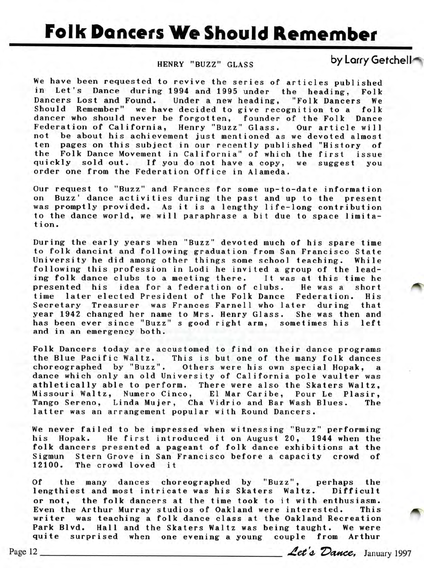## **Folk Dancers We Should Remember**

## HENRY "BUZZ" GLASS

by Larry Getchell

We have been requested to revive the series of articles published in Let's Dance during 1994 and 1995 under the heading, Folk Dancers Lost and Found. Under a new heading, "Folk Dancers We Should Remember" we have decided to give recognition to a folk dancer who should never be forgotten, founder of the Folk Dance Federation of California, Henry "Buzz" Glass. Our article will not be about his achievement just mentioned as we devoted almost ten pages on this subject in our recently published "History of the Folk Dance Movement in California" of which the first issue quickly sold out. If you do not have a copy, we suggest you order one from the Federation Office in Alameda.

Our request to "Buzz" and Frances for some up-to-date information on Buzz' dance activities during the past and up to the present was promptly provided. As it is a lengthy life-long contribution to the dance world, we will paraphrase a bit due to space limitation.

During the early years when "Buzz" devoted much of his spare time to folk dancint and following graduation from San Francisco State University he did among other things some school teaching. While following this profession in Lodi he invited a group of the leading folk dance clubs to a meeting there. It was at this time he presented his idea for a federation of clubs. He was a short time later elected President of the Folk Dance Federation. His Secretary Treasurer was Frances Farnell who later during that year 1942 changed her name to Mrs. Henry Glass. She was then and has been ever since "Buzz" s good right arm, sometimes his left and in an emergency both.

Folk Dancers today are accustomed to find on their dance programs he Blue Pacific Waltz. This is but one of the many folk dances choreographed by "Buzz". Others were his own special Hopak, a dance which only an old University of California pole vaulter was athletically able to perform. There were also the Skaters Waltz, Missouri Waltz, Numero Cinco, El Mar Caribe, Pour Le Plasir, Tango Sereno, Linda Mujer, Cha Vidrio and Bar Wash Blues. The latter was an arrangement popular with Round Dancers.

We never failed to be impressed when witnessing "Buzz" performing his Hopak. He first introduced it on August 20, 1944 when the folk dancers presented a pageant of folk dance exhibitions at the Sigmun Stern Grove in San Francisco before a capacity crowd of 12100. The crowd loved it

Of the many dances choreographed by "Buzz", perhaps the lengthiest and most intricate was his Skaters Waltz. Difficult or not, the folk dancers at the time took to it with enthusiasm. Even the Arthur Murray studios of Oakland were interested. This writer was teaching a folk dance class at the Oakland Recreation Park Blvd. Hall and the Skaters Waltz was being taught. We were quite surprised when one evening a young couple from Arthur Even the Arthur Murray studios of Oakland were interested. This<br>writer was teaching a folk dance class at the Oakland Recreation<br>Park Blvd. Hall and the Skaters Waltz was being taught. We were<br>quite surprised when one even